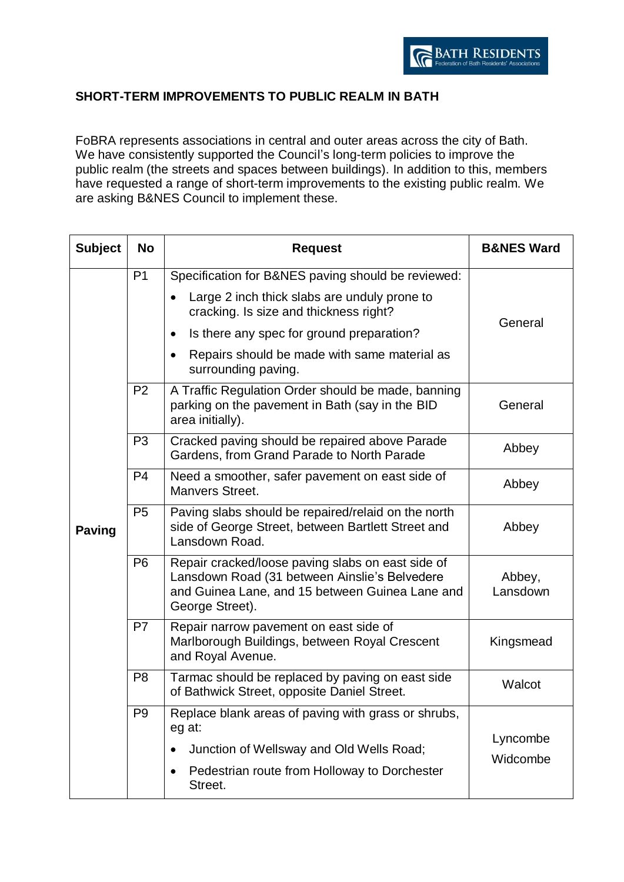## **SHORT-TERM IMPROVEMENTS TO PUBLIC REALM IN BATH**

FoBRA represents associations in central and outer areas across the city of Bath. We have consistently supported the Council's long-term policies to improve the public realm (the streets and spaces between buildings). In addition to this, members have requested a range of short-term improvements to the existing public realm. We are asking B&NES Council to implement these.

| <b>Subject</b> | <b>No</b>      | <b>Request</b>                                                                                                                                                           | <b>B&amp;NES Ward</b> |
|----------------|----------------|--------------------------------------------------------------------------------------------------------------------------------------------------------------------------|-----------------------|
| <b>Paving</b>  | P <sub>1</sub> | Specification for B&NES paving should be reviewed:                                                                                                                       | General               |
|                |                | Large 2 inch thick slabs are unduly prone to<br>cracking. Is size and thickness right?                                                                                   |                       |
|                |                | Is there any spec for ground preparation?                                                                                                                                |                       |
|                |                | Repairs should be made with same material as<br>surrounding paving.                                                                                                      |                       |
|                | P <sub>2</sub> | A Traffic Regulation Order should be made, banning<br>parking on the pavement in Bath (say in the BID<br>area initially).                                                | General               |
|                | P <sub>3</sub> | Cracked paving should be repaired above Parade<br>Gardens, from Grand Parade to North Parade                                                                             | Abbey                 |
|                | P <sub>4</sub> | Need a smoother, safer pavement on east side of<br>Manvers Street.                                                                                                       | Abbey                 |
|                | P <sub>5</sub> | Paving slabs should be repaired/relaid on the north<br>side of George Street, between Bartlett Street and<br>Lansdown Road.                                              | Abbey                 |
|                | P <sub>6</sub> | Repair cracked/loose paving slabs on east side of<br>Lansdown Road (31 between Ainslie's Belvedere<br>and Guinea Lane, and 15 between Guinea Lane and<br>George Street). | Abbey,<br>Lansdown    |
|                | P <sub>7</sub> | Repair narrow pavement on east side of<br>Marlborough Buildings, between Royal Crescent<br>and Royal Avenue.                                                             | Kingsmead             |
|                | P <sub>8</sub> | Tarmac should be replaced by paving on east side<br>of Bathwick Street, opposite Daniel Street.                                                                          | Walcot                |
|                | P <sub>9</sub> | Replace blank areas of paving with grass or shrubs,<br>eg at:                                                                                                            |                       |
|                |                | Junction of Wellsway and Old Wells Road;                                                                                                                                 | Lyncombe<br>Widcombe  |
|                |                | Pedestrian route from Holloway to Dorchester<br>٠<br>Street.                                                                                                             |                       |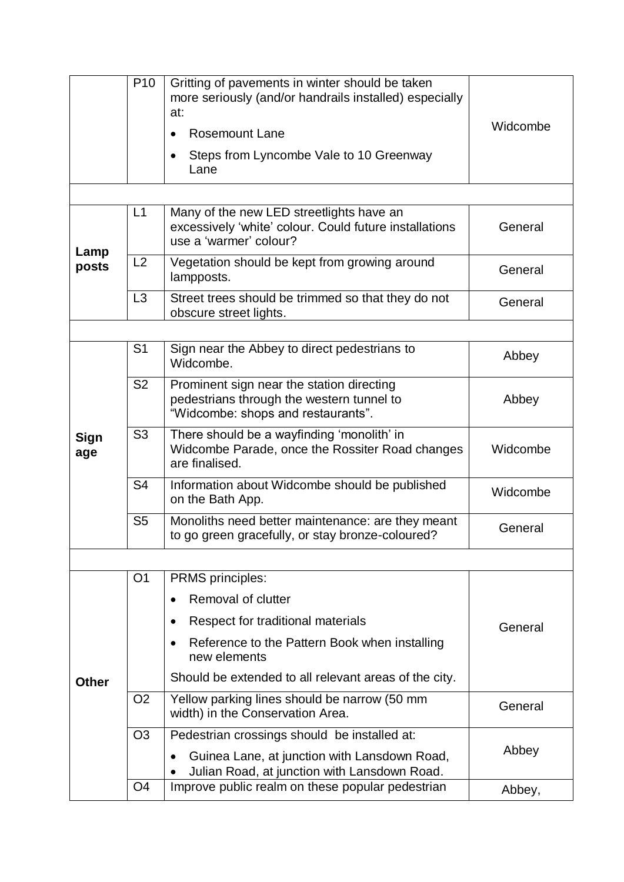|              | P <sub>10</sub> | Gritting of pavements in winter should be taken<br>more seriously (and/or handrails installed) especially<br>at:<br><b>Rosemount Lane</b><br>Steps from Lyncombe Vale to 10 Greenway<br>Lane | Widcombe |
|--------------|-----------------|----------------------------------------------------------------------------------------------------------------------------------------------------------------------------------------------|----------|
|              |                 |                                                                                                                                                                                              |          |
| Lamp         | L1              | Many of the new LED streetlights have an<br>excessively 'white' colour. Could future installations<br>use a 'warmer' colour?                                                                 | General  |
| posts        | L2              | Vegetation should be kept from growing around<br>lampposts.                                                                                                                                  | General  |
|              | L3              | Street trees should be trimmed so that they do not<br>obscure street lights.                                                                                                                 | General  |
|              |                 |                                                                                                                                                                                              |          |
|              | S <sub>1</sub>  | Sign near the Abbey to direct pedestrians to<br>Widcombe.                                                                                                                                    | Abbey    |
|              | <b>S2</b>       | Prominent sign near the station directing<br>pedestrians through the western tunnel to<br>"Widcombe: shops and restaurants".                                                                 | Abbey    |
| Sign<br>age  | S <sub>3</sub>  | There should be a wayfinding 'monolith' in<br>Widcombe Parade, once the Rossiter Road changes<br>are finalised.                                                                              | Widcombe |
|              | S <sub>4</sub>  | Information about Widcombe should be published<br>on the Bath App.                                                                                                                           | Widcombe |
|              | S <sub>5</sub>  | Monoliths need better maintenance: are they meant<br>to go green gracefully, or stay bronze-coloured?                                                                                        | General  |
|              |                 |                                                                                                                                                                                              |          |
|              | O <sub>1</sub>  | <b>PRMS</b> principles:                                                                                                                                                                      |          |
|              |                 | Removal of clutter<br>$\bullet$                                                                                                                                                              |          |
|              |                 | Respect for traditional materials                                                                                                                                                            | General  |
|              |                 | Reference to the Pattern Book when installing<br>$\bullet$<br>new elements                                                                                                                   |          |
| <b>Other</b> |                 | Should be extended to all relevant areas of the city.                                                                                                                                        |          |
|              | O <sub>2</sub>  | Yellow parking lines should be narrow (50 mm<br>width) in the Conservation Area.                                                                                                             | General  |
|              | O <sub>3</sub>  | Pedestrian crossings should be installed at:                                                                                                                                                 | Abbey    |
|              |                 | Guinea Lane, at junction with Lansdown Road,<br>Julian Road, at junction with Lansdown Road.                                                                                                 |          |
|              | O <sub>4</sub>  | Improve public realm on these popular pedestrian                                                                                                                                             | Abbey,   |